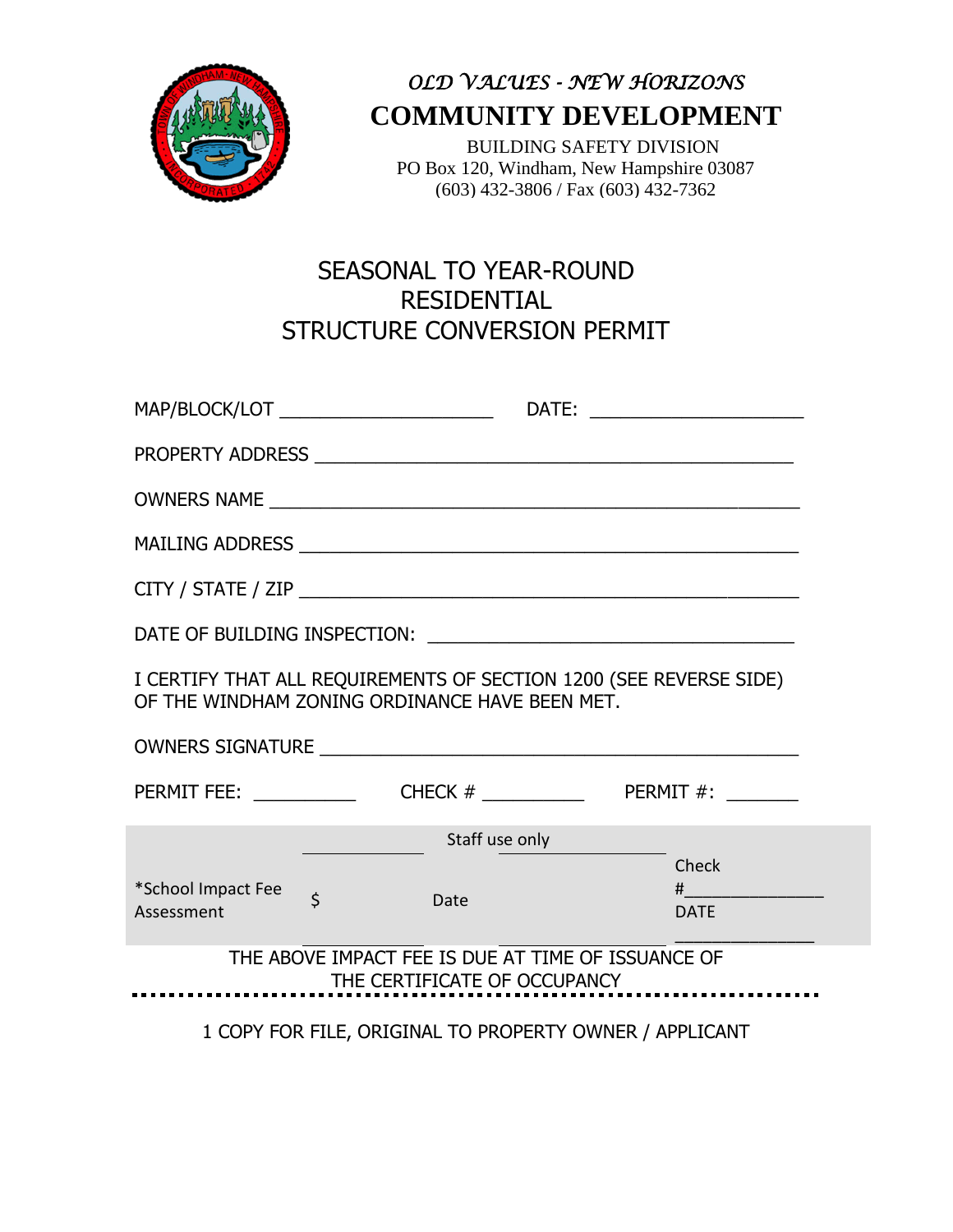

*OLD VALUES - NEW HORIZONS* **COMMUNITY DEVELOPMENT**

 BUILDING SAFETY DIVISION PO Box 120, Windham, New Hampshire 03087 (603) 432-3806 / Fax (603) 432-7362

## SEASONAL TO YEAR-ROUND RESIDENTIAL STRUCTURE CONVERSION PERMIT

| I CERTIFY THAT ALL REQUIREMENTS OF SECTION 1200 (SEE REVERSE SIDE)<br>OF THE WINDHAM ZONING ORDINANCE HAVE BEEN MET. |                |                                                         |  |                                         |
|----------------------------------------------------------------------------------------------------------------------|----------------|---------------------------------------------------------|--|-----------------------------------------|
|                                                                                                                      |                |                                                         |  |                                         |
|                                                                                                                      |                |                                                         |  |                                         |
|                                                                                                                      |                | Staff use only                                          |  |                                         |
| *School Impact Fee<br>Assessment                                                                                     | $\overline{S}$ | Date                                                    |  | Check<br>$\sharp$ $\Box$<br><b>DATE</b> |
| THE ABOVE IMPACT FEE IS DUE AT TIME OF ISSUANCE OF<br>THE CERTIFICATE OF OCCUPANCY                                   |                |                                                         |  |                                         |
|                                                                                                                      |                | $1.00015005$ FILE ODICINAL TO DROBERTY OUNCE LADD ICANT |  |                                         |

1 COPY FOR FILE, ORIGINAL TO PROPERTY OWNER / APPLICANT